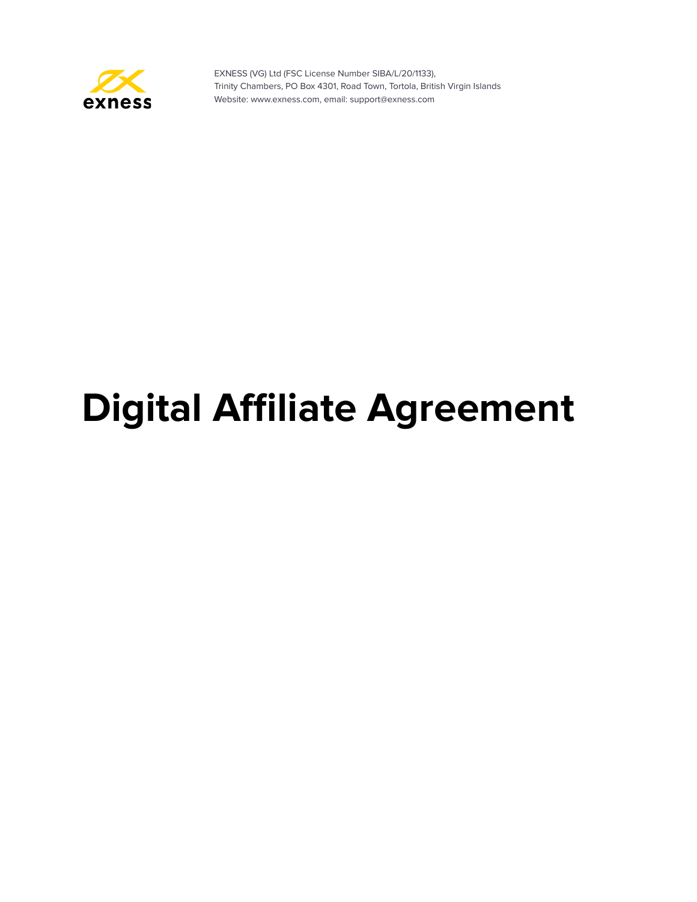

# **Digital Affiliate Agreement**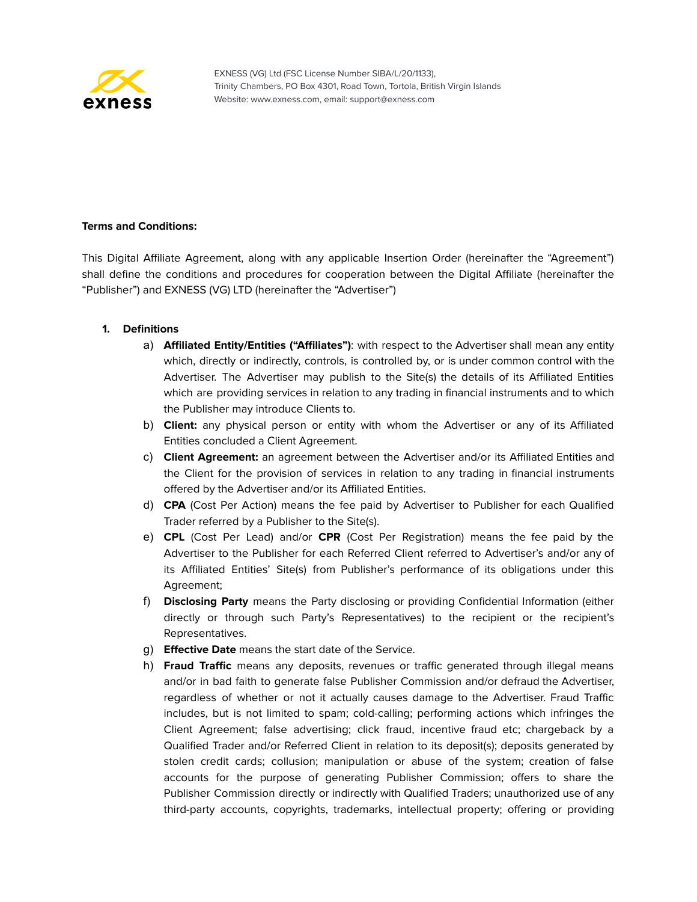

# **Terms and Conditions:**

This Digital Affiliate Agreement, along with any applicable Insertion Order (hereinafter the "Agreement") shall define the conditions and procedures for cooperation between the Digital Affiliate (hereinafter the "Publisher") and EXNESS (VG) LTD (hereinafter the "Advertiser")

## **1. Definitions**

- a) **Affiliated Entity/Entities ("Affiliates")**: with respect to the Advertiser shall mean any entity which, directly or indirectly, controls, is controlled by, or is under common control with the Advertiser. The Advertiser may publish to the Site(s) the details of its Affiliated Entities which are providing services in relation to any trading in financial instruments and to which the Publisher may introduce Clients to.
- b) **Client:** any physical person or entity with whom the Advertiser or any of its Affiliated Entities concluded a Client Agreement.
- c) **Client Agreement:** an agreement between the Advertiser and/or its Affiliated Entities and the Client for the provision of services in relation to any trading in financial instruments offered by the Advertiser and/or its Affiliated Entities.
- d) **CPA** (Cost Per Action) means the fee paid by Advertiser to Publisher for each Qualified Trader referred by a Publisher to the Site(s).
- e) **CPL** (Cost Per Lead) and/or **CPR** (Cost Per Registration) means the fee paid by the Advertiser to the Publisher for each Referred Client referred to Advertiser's and/or any of its Affiliated Entities' Site(s) from Publisher's performance of its obligations under this Agreement;
- f) **Disclosing Party** means the Party disclosing or providing Confidential Information (either directly or through such Party's Representatives) to the recipient or the recipient's Representatives.
- g) **Effective Date** means the start date of the Service.
- h) **Fraud Traffic** means any deposits, revenues or traffic generated through illegal means and/or in bad faith to generate false Publisher Commission and/or defraud the Advertiser, regardless of whether or not it actually causes damage to the Advertiser. Fraud Traffic includes, but is not limited to spam; cold-calling; performing actions which infringes the Client Agreement; false advertising; click fraud, incentive fraud etc; chargeback by a Qualified Trader and/or Referred Client in relation to its deposit(s); deposits generated by stolen credit cards; collusion; manipulation or abuse of the system; creation of false accounts for the purpose of generating Publisher Commission; offers to share the Publisher Commission directly or indirectly with Qualified Traders; unauthorized use of any third-party accounts, copyrights, trademarks, intellectual property; offering or providing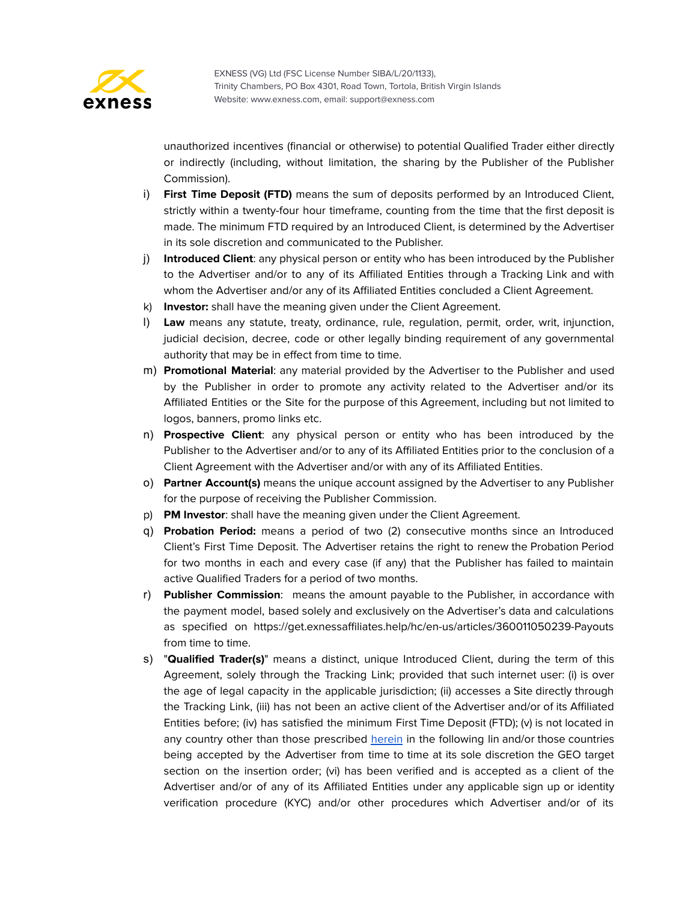

unauthorized incentives (financial or otherwise) to potential Qualified Trader either directly or indirectly (including, without limitation, the sharing by the Publisher of the Publisher Commission).

- i) **First Time Deposit (FTD)** means the sum of deposits performed by an Introduced Client, strictly within a twenty-four hour timeframe, counting from the time that the first deposit is made. The minimum FTD required by an Introduced Client, is determined by the Advertiser in its sole discretion and communicated to the Publisher.
- j) **Introduced Client**: any physical person or entity who has been introduced by the Publisher to the Advertiser and/or to any of its Affiliated Entities through a Tracking Link and with whom the Advertiser and/or any of its Affiliated Entities concluded a Client Agreement.
- k) **Investor:** shall have the meaning given under the Client Agreement.
- l) **Law** means any statute, treaty, ordinance, rule, regulation, permit, order, writ, injunction, judicial decision, decree, code or other legally binding requirement of any governmental authority that may be in effect from time to time.
- m) **Promotional Material**: any material provided by the Advertiser to the Publisher and used by the Publisher in order to promote any activity related to the Advertiser and/or its Affiliated Entities or the Site for the purpose of this Agreement, including but not limited to logos, banners, promo links etc.
- n) **Prospective Client**: any physical person or entity who has been introduced by the Publisher to the Advertiser and/or to any of its Affiliated Entities prior to the conclusion of a Client Agreement with the Advertiser and/or with any of its Affiliated Entities.
- o) **Partner Account(s)** means the unique account assigned by the Advertiser to any Publisher for the purpose of receiving the Publisher Commission.
- p) **PM Investor**: shall have the meaning given under the Client Agreement.
- q) **Probation Period:** means a period of two (2) consecutive months since an Introduced Client's First Time Deposit. The Advertiser retains the right to renew the Probation Period for two months in each and every case (if any) that the Publisher has failed to maintain active Qualified Traders for a period of two months.
- r) **Publisher Commission**: means the amount payable to the Publisher, in accordance with the payment model, based solely and exclusively on the Advertiser's data and calculations as specified on https://get.exnessaffiliates.help/hc/en-us/articles/360011050239-Payouts from time to time.
- s) "**Qualified Trader(s)**" means a distinct, unique Introduced Client, during the term of this Agreement, solely through the Tracking Link; provided that such internet user: (i) is over the age of legal capacity in the applicable jurisdiction; (ii) accesses a Site directly through the Tracking Link, (iii) has not been an active client of the Advertiser and/or of its Affiliated Entities before; (iv) has satisfied the minimum First Time Deposit (FTD); (v) is not located in any country other than those prescribed [herein](https://get.exnessaffiliates.help/hc/en-us/articles/360011050239-Payouts) in the following lin and/or those countries being accepted by the Advertiser from time to time at its sole discretion the GEO target section on the insertion order; (vi) has been verified and is accepted as a client of the Advertiser and/or of any of its Affiliated Entities under any applicable sign up or identity verification procedure (KYC) and/or other procedures which Advertiser and/or of its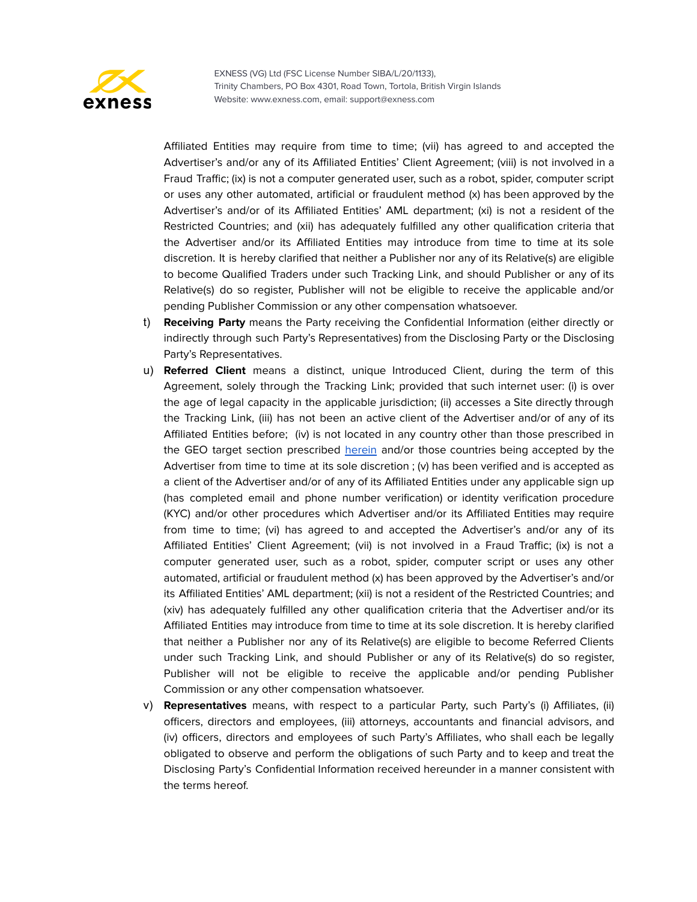

Affiliated Entities may require from time to time; (vii) has agreed to and accepted the Advertiser's and/or any of its Affiliated Entities' Client Agreement; (viii) is not involved in a Fraud Traffic; (ix) is not a computer generated user, such as a robot, spider, computer script or uses any other automated, artificial or fraudulent method (x) has been approved by the Advertiser's and/or of its Affiliated Entities' AML department; (xi) is not a resident of the Restricted Countries; and (xii) has adequately fulfilled any other qualification criteria that the Advertiser and/or its Affiliated Entities may introduce from time to time at its sole discretion. It is hereby clarified that neither a Publisher nor any of its Relative(s) are eligible to become Qualified Traders under such Tracking Link, and should Publisher or any of its Relative(s) do so register, Publisher will not be eligible to receive the applicable and/or pending Publisher Commission or any other compensation whatsoever.

- t) **Receiving Party** means the Party receiving the Confidential Information (either directly or indirectly through such Party's Representatives) from the Disclosing Party or the Disclosing Party's Representatives.
- u) **Referred Client** means a distinct, unique Introduced Client, during the term of this Agreement, solely through the Tracking Link; provided that such internet user: (i) is over the age of legal capacity in the applicable jurisdiction; (ii) accesses a Site directly through the Tracking Link, (iii) has not been an active client of the Advertiser and/or of any of its Affiliated Entities before; (iv) is not located in any country other than those prescribed in the GEO target section prescribed **[herein](https://get.exnessaffiliates.help/hc/en-us/articles/360011050239-Payouts)** and/or those countries being accepted by the Advertiser from time to time at its sole discretion ;  $(v)$  has been verified and is accepted as a client of the Advertiser and/or of any of its Affiliated Entities under any applicable sign up (has completed email and phone number verification) or identity verification procedure (KYC) and/or other procedures which Advertiser and/or its Affiliated Entities may require from time to time; (vi) has agreed to and accepted the Advertiser's and/or any of its Affiliated Entities' Client Agreement; (vii) is not involved in a Fraud Traffic; (ix) is not a computer generated user, such as a robot, spider, computer script or uses any other automated, artificial or fraudulent method (x) has been approved by the Advertiser's and/or its Affiliated Entities' AML department; (xii) is not a resident of the Restricted Countries; and (xiv) has adequately fulfilled any other qualification criteria that the Advertiser and/or its Affiliated Entities may introduce from time to time at its sole discretion. It is hereby clarified that neither a Publisher nor any of its Relative(s) are eligible to become Referred Clients under such Tracking Link, and should Publisher or any of its Relative(s) do so register, Publisher will not be eligible to receive the applicable and/or pending Publisher Commission or any other compensation whatsoever.
- v) **Representatives** means, with respect to a particular Party, such Party's (i) Affiliates, (ii) officers, directors and employees, (iii) attorneys, accountants and financial advisors, and (iv) officers, directors and employees of such Party's Affiliates, who shall each be legally obligated to observe and perform the obligations of such Party and to keep and treat the Disclosing Party's Confidential Information received hereunder in a manner consistent with the terms hereof.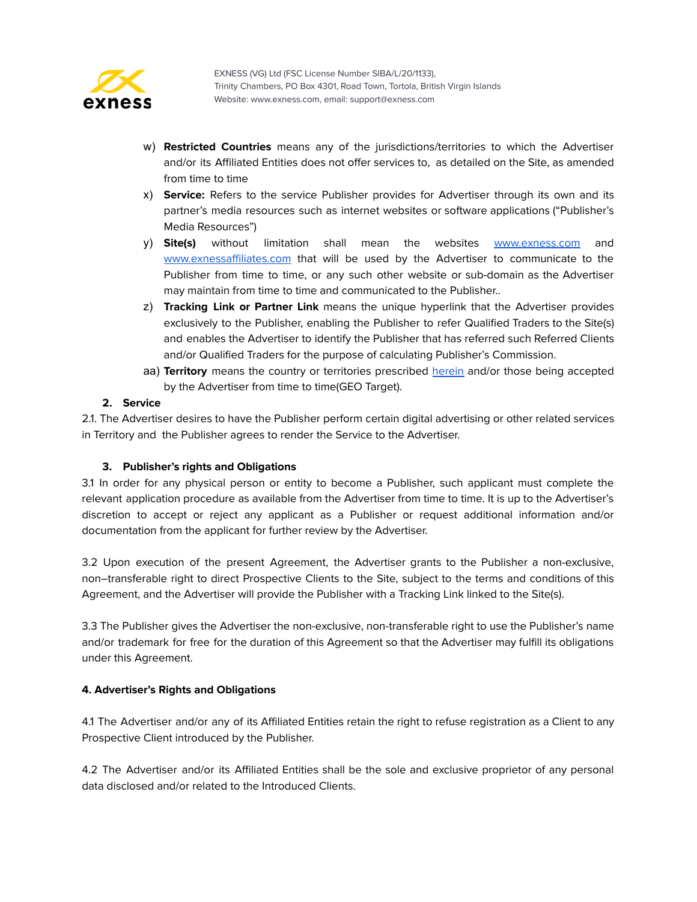

- w) **Restricted Countries** means any of the jurisdictions/territories to which the Advertiser and/or its Affiliated Entities does not offer services to, as detailed on the Site, as amended from time to time
- x) **Service:** Refers to the service Publisher provides for Advertiser through its own and its partner's media resources such as internet websites or software applications ("Publisher's Media Resources")
- y) **Site(s)** without limitation shall mean the websites [www.exness.com](http://www.exness.com) and [www.exnessaffiliates.com](http://www.exnessaffiliates.com) that will be used by the Advertiser to communicate to the Publisher from time to time, or any such other website or sub-domain as the Advertiser may maintain from time to time and communicated to the Publisher..
- z) **Tracking Link or Partner Link** means the unique hyperlink that the Advertiser provides exclusively to the Publisher, enabling the Publisher to refer Qualified Traders to the Site(s) and enables the Advertiser to identify the Publisher that has referred such Referred Clients and/or Qualified Traders for the purpose of calculating Publisher's Commission.
- aa) **Territory** means the country or territories prescribed [herein](https://get.exnessaffiliates.help/hc/en-us/articles/360011050239-Payouts) and/or those being accepted by the Advertiser from time to time(GEO Target).

# **2. Service**

2.1. The Advertiser desires to have the Publisher perform certain digital advertising or other related services in Territory and the Publisher agrees to render the Service to the Advertiser.

# **3. Publisher's rights and Obligations**

3.1 In order for any physical person or entity to become a Publisher, such applicant must complete the relevant application procedure as available from the Advertiser from time to time. It is up to the Advertiser's discretion to accept or reject any applicant as a Publisher or request additional information and/or documentation from the applicant for further review by the Advertiser.

3.2 Upon execution of the present Agreement, the Advertiser grants to the Publisher a non-exclusive, non–transferable right to direct Prospective Clients to the Site, subject to the terms and conditions of this Agreement, and the Advertiser will provide the Publisher with a Tracking Link linked to the Site(s).

3.3 The Publisher gives the Advertiser the non-exclusive, non-transferable right to use the Publisher's name and/or trademark for free for the duration of this Agreement so that the Advertiser may fulfill its obligations under this Agreement.

## **4. Advertiser's Rights and Obligations**

4.1 The Advertiser and/or any of its Affiliated Entities retain the right to refuse registration as a Client to any Prospective Client introduced by the Publisher.

4.2 The Advertiser and/or its Affiliated Entities shall be the sole and exclusive proprietor of any personal data disclosed and/or related to the Introduced Clients.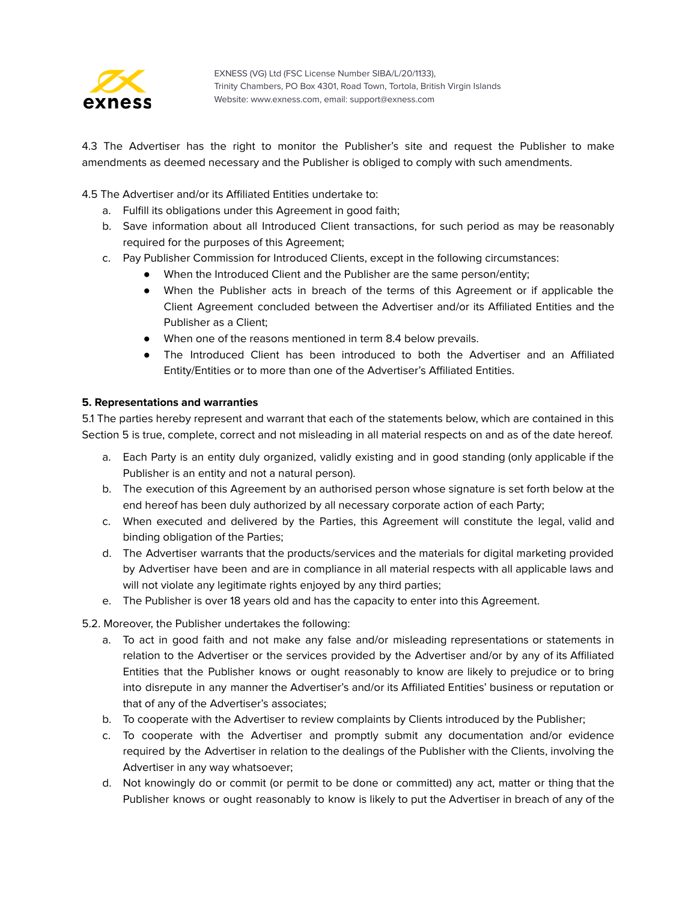

4.3 The Advertiser has the right to monitor the Publisher's site and request the Publisher to make amendments as deemed necessary and the Publisher is obliged to comply with such amendments.

4.5 The Advertiser and/or its Affiliated Entities undertake to:

- a. Fulfill its obligations under this Agreement in good faith;
- b. Save information about all Introduced Client transactions, for such period as may be reasonably required for the purposes of this Agreement;
- c. Pay Publisher Commission for Introduced Clients, except in the following circumstances:
	- When the Introduced Client and the Publisher are the same person/entity;
	- When the Publisher acts in breach of the terms of this Agreement or if applicable the Client Agreement concluded between the Advertiser and/or its Affiliated Entities and the Publisher as a Client;
	- When one of the reasons mentioned in term 8.4 below prevails.
	- The Introduced Client has been introduced to both the Advertiser and an Affiliated Entity/Entities or to more than one of the Advertiser's Affiliated Entities.

## **5. Representations and warranties**

5.1 The parties hereby represent and warrant that each of the statements below, which are contained in this Section 5 is true, complete, correct and not misleading in all material respects on and as of the date hereof.

- a. Each Party is an entity duly organized, validly existing and in good standing (only applicable if the Publisher is an entity and not a natural person).
- b. The execution of this Agreement by an authorised person whose signature is set forth below at the end hereof has been duly authorized by all necessary corporate action of each Party;
- c. When executed and delivered by the Parties, this Agreement will constitute the legal, valid and binding obligation of the Parties;
- d. The Advertiser warrants that the products/services and the materials for digital marketing provided by Advertiser have been and are in compliance in all material respects with all applicable laws and will not violate any legitimate rights enjoyed by any third parties;
- e. The Publisher is over 18 years old and has the capacity to enter into this Agreement.

## 5.2. Moreover, the Publisher undertakes the following:

- a. To act in good faith and not make any false and/or misleading representations or statements in relation to the Advertiser or the services provided by the Advertiser and/or by any of its Affiliated Entities that the Publisher knows or ought reasonably to know are likely to prejudice or to bring into disrepute in any manner the Advertiser's and/or its Affiliated Entities' business or reputation or that of any of the Advertiser's associates;
- b. To cooperate with the Advertiser to review complaints by Clients introduced by the Publisher;
- c. To cooperate with the Advertiser and promptly submit any documentation and/or evidence required by the Advertiser in relation to the dealings of the Publisher with the Clients, involving the Advertiser in any way whatsoever;
- d. Not knowingly do or commit (or permit to be done or committed) any act, matter or thing that the Publisher knows or ought reasonably to know is likely to put the Advertiser in breach of any of the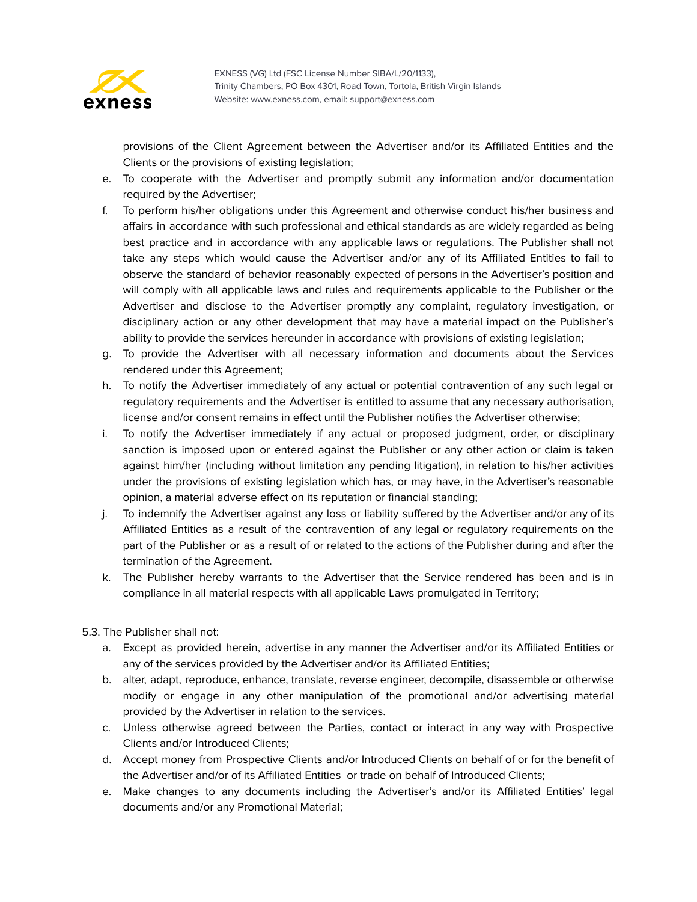

provisions of the Client Agreement between the Advertiser and/or its Affiliated Entities and the Clients or the provisions of existing legislation;

- e. To cooperate with the Advertiser and promptly submit any information and/or documentation required by the Advertiser;
- f. To perform his/her obligations under this Agreement and otherwise conduct his/her business and affairs in accordance with such professional and ethical standards as are widely regarded as being best practice and in accordance with any applicable laws or regulations. The Publisher shall not take any steps which would cause the Advertiser and/or any of its Affiliated Entities to fail to observe the standard of behavior reasonably expected of persons in the Advertiser's position and will comply with all applicable laws and rules and requirements applicable to the Publisher or the Advertiser and disclose to the Advertiser promptly any complaint, regulatory investigation, or disciplinary action or any other development that may have a material impact on the Publisher's ability to provide the services hereunder in accordance with provisions of existing legislation;
- g. To provide the Advertiser with all necessary information and documents about the Services rendered under this Agreement;
- h. To notify the Advertiser immediately of any actual or potential contravention of any such legal or regulatory requirements and the Advertiser is entitled to assume that any necessary authorisation, license and/or consent remains in effect until the Publisher notifies the Advertiser otherwise;
- i. To notify the Advertiser immediately if any actual or proposed judgment, order, or disciplinary sanction is imposed upon or entered against the Publisher or any other action or claim is taken against him/her (including without limitation any pending litigation), in relation to his/her activities under the provisions of existing legislation which has, or may have, in the Advertiser's reasonable opinion, a material adverse effect on its reputation or financial standing;
- j. To indemnify the Advertiser against any loss or liability suffered by the Advertiser and/or any of its Affiliated Entities as a result of the contravention of any legal or regulatory requirements on the part of the Publisher or as a result of or related to the actions of the Publisher during and after the termination of the Agreement.
- k. The Publisher hereby warrants to the Advertiser that the Service rendered has been and is in compliance in all material respects with all applicable Laws promulgated in Territory;
- 5.3. The Publisher shall not:
	- a. Except as provided herein, advertise in any manner the Advertiser and/or its Affiliated Entities or any of the services provided by the Advertiser and/or its Affiliated Entities;
	- b. alter, adapt, reproduce, enhance, translate, reverse engineer, decompile, disassemble or otherwise modify or engage in any other manipulation of the promotional and/or advertising material provided by the Advertiser in relation to the services.
	- c. Unless otherwise agreed between the Parties, contact or interact in any way with Prospective Clients and/or Introduced Clients;
	- d. Accept money from Prospective Clients and/or Introduced Clients on behalf of or for the benefit of the Advertiser and/or of its Affiliated Entities or trade on behalf of Introduced Clients;
	- e. Make changes to any documents including the Advertiser's and/or its Affiliated Entities' legal documents and/or any Promotional Material;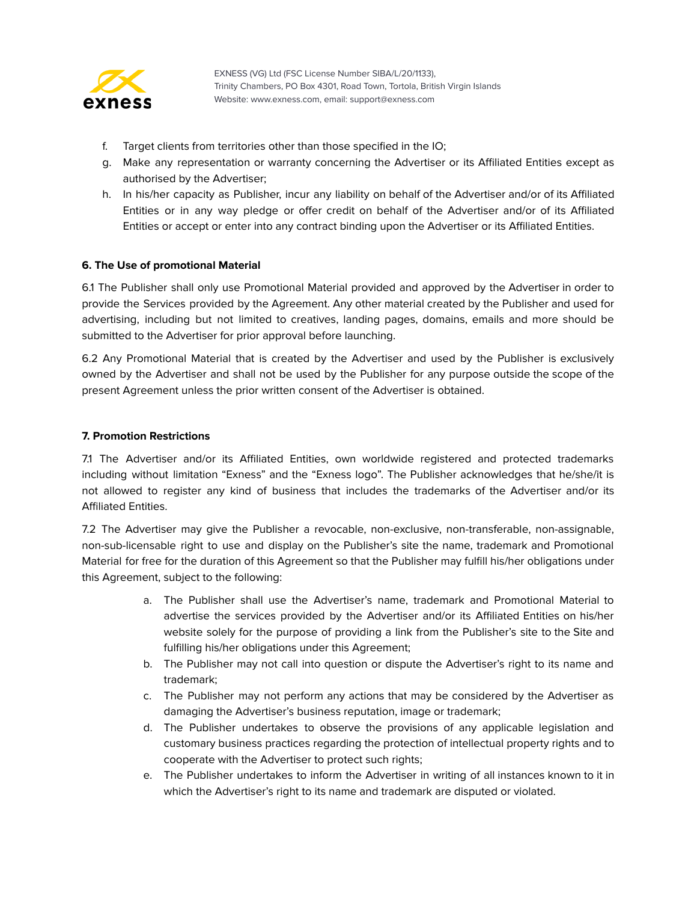

- f. Target clients from territories other than those specified in the IO;
- g. Make any representation or warranty concerning the Advertiser or its Affiliated Entities except as authorised by the Advertiser;
- h. In his/her capacity as Publisher, incur any liability on behalf of the Advertiser and/or of its Affiliated Entities or in any way pledge or offer credit on behalf of the Advertiser and/or of its Affiliated Entities or accept or enter into any contract binding upon the Advertiser or its Affiliated Entities.

## **6. The Use of promotional Material**

6.1 The Publisher shall only use Promotional Material provided and approved by the Advertiser in order to provide the Services provided by the Agreement. Any other material created by the Publisher and used for advertising, including but not limited to creatives, landing pages, domains, emails and more should be submitted to the Advertiser for prior approval before launching.

6.2 Any Promotional Material that is created by the Advertiser and used by the Publisher is exclusively owned by the Advertiser and shall not be used by the Publisher for any purpose outside the scope of the present Agreement unless the prior written consent of the Advertiser is obtained.

## **7. Promotion Restrictions**

7.1 The Advertiser and/or its Affiliated Entities, own worldwide registered and protected trademarks including without limitation "Exness" and the "Exness logo". The Publisher acknowledges that he/she/it is not allowed to register any kind of business that includes the trademarks of the Advertiser and/or its Affiliated Entities.

7.2 The Advertiser may give the Publisher a revocable, non-exclusive, non-transferable, non-assignable, non-sub-licensable right to use and display on the Publisher's site the name, trademark and Promotional Material for free for the duration of this Agreement so that the Publisher may fulfill his/her obligations under this Agreement, subject to the following:

- a. The Publisher shall use the Advertiser's name, trademark and Promotional Material to advertise the services provided by the Advertiser and/or its Affiliated Entities on his/her website solely for the purpose of providing a link from the Publisher's site to the Site and fulfilling his/her obligations under this Agreement;
- b. The Publisher may not call into question or dispute the Advertiser's right to its name and trademark;
- c. The Publisher may not perform any actions that may be considered by the Advertiser as damaging the Advertiser's business reputation, image or trademark;
- d. The Publisher undertakes to observe the provisions of any applicable legislation and customary business practices regarding the protection of intellectual property rights and to cooperate with the Advertiser to protect such rights;
- e. The Publisher undertakes to inform the Advertiser in writing of all instances known to it in which the Advertiser's right to its name and trademark are disputed or violated.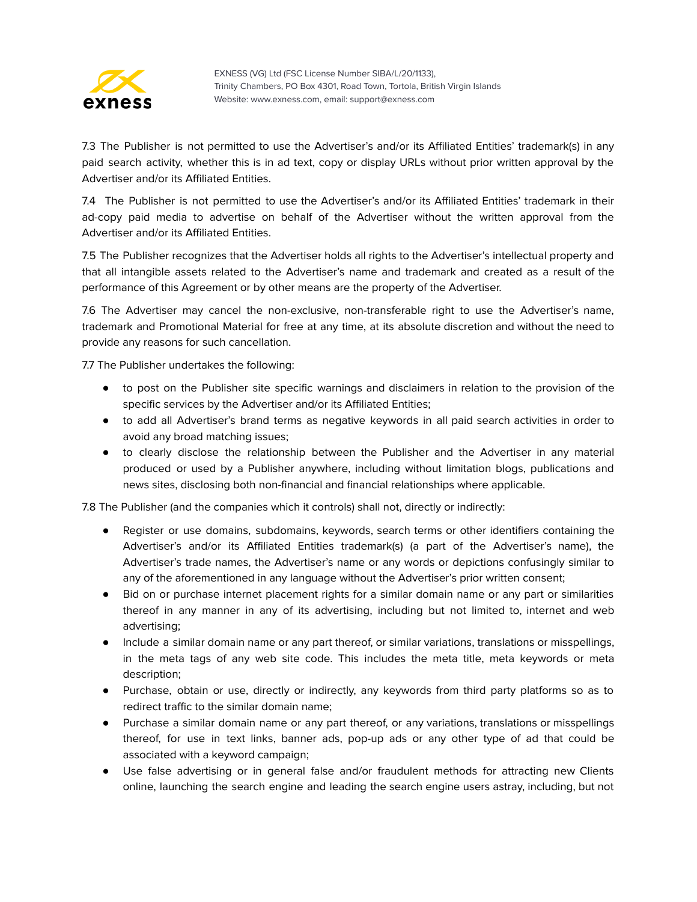

7.3 The Publisher is not permitted to use the Advertiser's and/or its Affiliated Entities' trademark(s) in any paid search activity, whether this is in ad text, copy or display URLs without prior written approval by the Advertiser and/or its Affiliated Entities.

7.4 The Publisher is not permitted to use the Advertiser's and/or its Affiliated Entities' trademark in their ad-copy paid media to advertise on behalf of the Advertiser without the written approval from the Advertiser and/or its Affiliated Entities.

7.5 The Publisher recognizes that the Advertiser holds all rights to the Advertiser's intellectual property and that all intangible assets related to the Advertiser's name and trademark and created as a result of the performance of this Agreement or by other means are the property of the Advertiser.

7.6 The Advertiser may cancel the non-exclusive, non-transferable right to use the Advertiser's name, trademark and Promotional Material for free at any time, at its absolute discretion and without the need to provide any reasons for such cancellation.

7.7 The Publisher undertakes the following:

- to post on the Publisher site specific warnings and disclaimers in relation to the provision of the specific services by the Advertiser and/or its Affiliated Entities;
- to add all Advertiser's brand terms as negative keywords in all paid search activities in order to avoid any broad matching issues;
- to clearly disclose the relationship between the Publisher and the Advertiser in any material produced or used by a Publisher anywhere, including without limitation blogs, publications and news sites, disclosing both non-financial and financial relationships where applicable.

7.8 The Publisher (and the companies which it controls) shall not, directly or indirectly:

- Register or use domains, subdomains, keywords, search terms or other identifiers containing the Advertiser's and/or its Affiliated Entities trademark(s) (a part of the Advertiser's name), the Advertiser's trade names, the Advertiser's name or any words or depictions confusingly similar to any of the aforementioned in any language without the Advertiser's prior written consent;
- Bid on or purchase internet placement rights for a similar domain name or any part or similarities thereof in any manner in any of its advertising, including but not limited to, internet and web advertising;
- Include a similar domain name or any part thereof, or similar variations, translations or misspellings, in the meta tags of any web site code. This includes the meta title, meta keywords or meta description;
- Purchase, obtain or use, directly or indirectly, any keywords from third party platforms so as to redirect traffic to the similar domain name;
- Purchase a similar domain name or any part thereof, or any variations, translations or misspellings thereof, for use in text links, banner ads, pop-up ads or any other type of ad that could be associated with a keyword campaign;
- Use false advertising or in general false and/or fraudulent methods for attracting new Clients online, launching the search engine and leading the search engine users astray, including, but not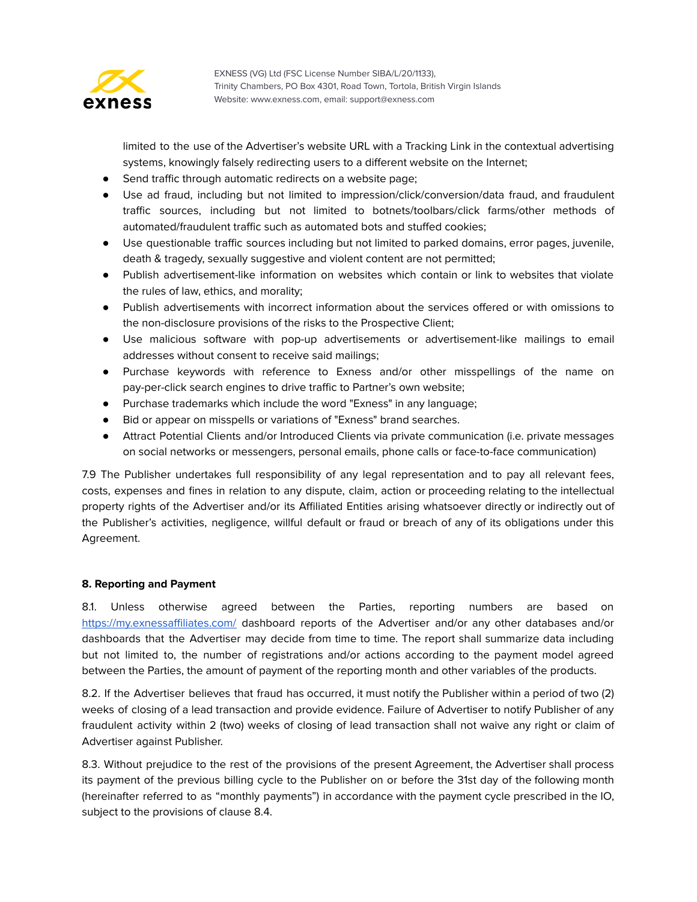

limited to the use of the Advertiser's website URL with a Tracking Link in the contextual advertising systems, knowingly falsely redirecting users to a different website on the Internet;

- Send traffic through automatic redirects on a website page;
- Use ad fraud, including but not limited to impression/click/conversion/data fraud, and fraudulent traffic sources, including but not limited to botnets/toolbars/click farms/other methods of automated/fraudulent traffic such as automated bots and stuffed cookies;
- Use questionable traffic sources including but not limited to parked domains, error pages, juvenile, death & tragedy, sexually suggestive and violent content are not permitted;
- Publish advertisement-like information on websites which contain or link to websites that violate the rules of law, ethics, and morality;
- Publish advertisements with incorrect information about the services offered or with omissions to the non-disclosure provisions of the risks to the Prospective Client;
- Use malicious software with pop-up advertisements or advertisement-like mailings to email addresses without consent to receive said mailings;
- Purchase keywords with reference to Exness and/or other misspellings of the name on pay-per-click search engines to drive traffic to Partner's own website;
- Purchase trademarks which include the word "Exness" in any language;
- Bid or appear on misspells or variations of "Exness" brand searches.
- Attract Potential Clients and/or Introduced Clients via private communication (i.e. private messages on social networks or messengers, personal emails, phone calls or face-to-face communication)

7.9 The Publisher undertakes full responsibility of any legal representation and to pay all relevant fees, costs, expenses and fines in relation to any dispute, claim, action or proceeding relating to the intellectual property rights of the Advertiser and/or its Affiliated Entities arising whatsoever directly or indirectly out of the Publisher's activities, negligence, willful default or fraud or breach of any of its obligations under this Agreement.

## **8. Reporting and Payment**

8.1. Unless otherwise agreed between the Parties, reporting numbers are based on <https://my.exnessaffiliates.com/> dashboard reports of the Advertiser and/or any other databases and/or dashboards that the Advertiser may decide from time to time. The report shall summarize data including but not limited to, the number of registrations and/or actions according to the payment model agreed between the Parties, the amount of payment of the reporting month and other variables of the products.

8.2. If the Advertiser believes that fraud has occurred, it must notify the Publisher within a period of two (2) weeks of closing of a lead transaction and provide evidence. Failure of Advertiser to notify Publisher of any fraudulent activity within 2 (two) weeks of closing of lead transaction shall not waive any right or claim of Advertiser against Publisher.

8.3. Without prejudice to the rest of the provisions of the present Agreement, the Advertiser shall process its payment of the previous billing cycle to the Publisher on or before the 31st day of the following month (hereinafter referred to as "monthly payments") in accordance with the payment cycle prescribed in the IO, subject to the provisions of clause 8.4.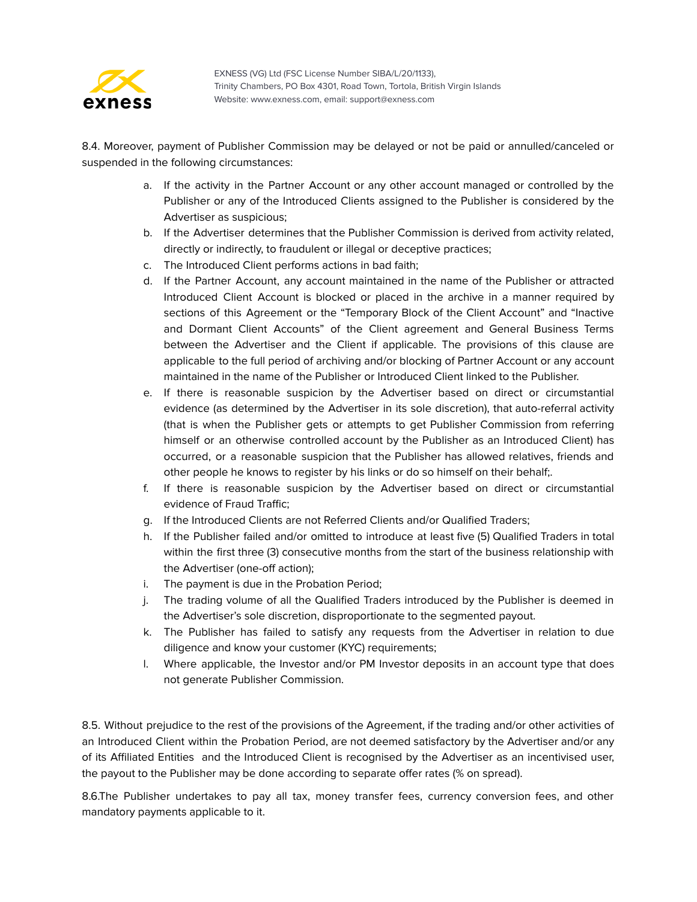

8.4. Moreover, payment of Publisher Commission may be delayed or not be paid or annulled/canceled or suspended in the following circumstances:

- a. If the activity in the Partner Account or any other account managed or controlled by the Publisher or any of the Introduced Clients assigned to the Publisher is considered by the Advertiser as suspicious;
- b. If the Advertiser determines that the Publisher Commission is derived from activity related, directly or indirectly, to fraudulent or illegal or deceptive practices;
- c. The Introduced Client performs actions in bad faith;
- d. If the Partner Account, any account maintained in the name of the Publisher or attracted Introduced Client Account is blocked or placed in the archive in a manner required by sections of this Agreement or the "Temporary Block of the Client Account" and "Inactive and Dormant Client Accounts" of the Client agreement and General Business Terms between the Advertiser and the Client if applicable. The provisions of this clause are applicable to the full period of archiving and/or blocking of Partner Account or any account maintained in the name of the Publisher or Introduced Client linked to the Publisher.
- e. If there is reasonable suspicion by the Advertiser based on direct or circumstantial evidence (as determined by the Advertiser in its sole discretion), that auto-referral activity (that is when the Publisher gets or attempts to get Publisher Commission from referring himself or an otherwise controlled account by the Publisher as an Introduced Client) has occurred, or a reasonable suspicion that the Publisher has allowed relatives, friends and other people he knows to register by his links or do so himself on their behalf;.
- f. If there is reasonable suspicion by the Advertiser based on direct or circumstantial evidence of Fraud Traffic;
- g. If the Introduced Clients are not Referred Clients and/or Qualified Traders;
- h. If the Publisher failed and/or omitted to introduce at least five (5) Qualified Traders in total within the first three (3) consecutive months from the start of the business relationship with the Advertiser (one-off action);
- i. The payment is due in the Probation Period;
- j. The trading volume of all the Qualified Traders introduced by the Publisher is deemed in the Advertiser's sole discretion, disproportionate to the segmented payout.
- k. The Publisher has failed to satisfy any requests from the Advertiser in relation to due diligence and know your customer (KYC) requirements;
- l. Where applicable, the Investor and/or PM Investor deposits in an account type that does not generate Publisher Commission.

8.5. Without prejudice to the rest of the provisions of the Agreement, if the trading and/or other activities of an Introduced Client within the Probation Period, are not deemed satisfactory by the Advertiser and/or any of its Affiliated Entities and the Introduced Client is recognised by the Advertiser as an incentivised user, the payout to the Publisher may be done according to separate offer rates (% on spread).

8.6.The Publisher undertakes to pay all tax, money transfer fees, currency conversion fees, and other mandatory payments applicable to it.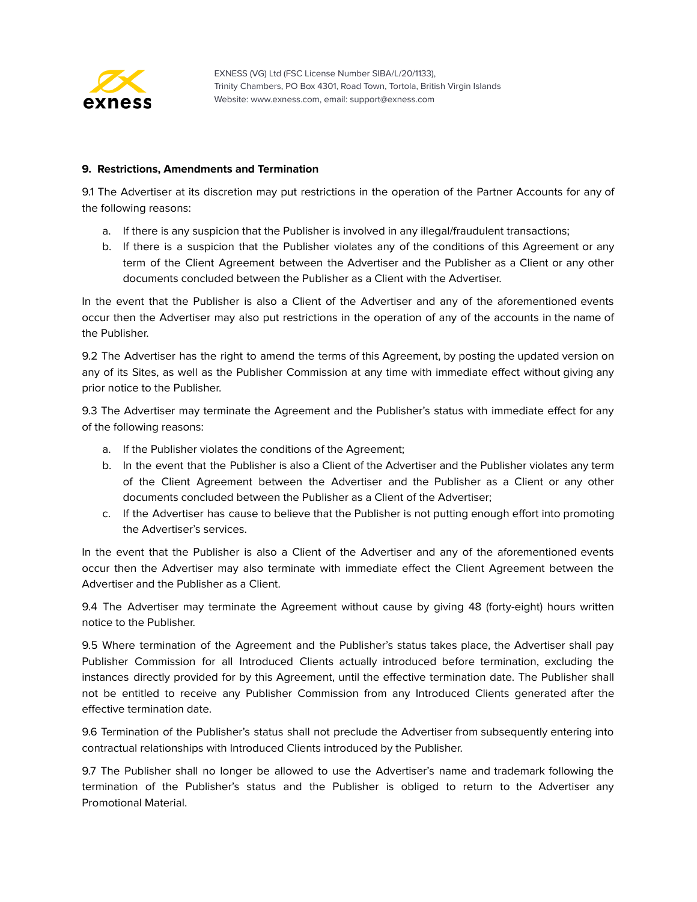

#### **9. Restrictions, Amendments and Termination**

9.1 The Advertiser at its discretion may put restrictions in the operation of the Partner Accounts for any of the following reasons:

- a. If there is any suspicion that the Publisher is involved in any illegal/fraudulent transactions;
- b. If there is a suspicion that the Publisher violates any of the conditions of this Agreement or any term of the Client Agreement between the Advertiser and the Publisher as a Client or any other documents concluded between the Publisher as a Client with the Advertiser.

In the event that the Publisher is also a Client of the Advertiser and any of the aforementioned events occur then the Advertiser may also put restrictions in the operation of any of the accounts in the name of the Publisher.

9.2 The Advertiser has the right to amend the terms of this Agreement, by posting the updated version on any of its Sites, as well as the Publisher Commission at any time with immediate effect without giving any prior notice to the Publisher.

9.3 The Advertiser may terminate the Agreement and the Publisher's status with immediate effect for any of the following reasons:

- a. If the Publisher violates the conditions of the Agreement;
- b. In the event that the Publisher is also a Client of the Advertiser and the Publisher violates any term of the Client Agreement between the Advertiser and the Publisher as a Client or any other documents concluded between the Publisher as a Client of the Advertiser;
- c. If the Advertiser has cause to believe that the Publisher is not putting enough effort into promoting the Advertiser's services.

In the event that the Publisher is also a Client of the Advertiser and any of the aforementioned events occur then the Advertiser may also terminate with immediate effect the Client Agreement between the Advertiser and the Publisher as a Client.

9.4 The Advertiser may terminate the Agreement without cause by giving 48 (forty-eight) hours written notice to the Publisher.

9.5 Where termination of the Agreement and the Publisher's status takes place, the Advertiser shall pay Publisher Commission for all Introduced Clients actually introduced before termination, excluding the instances directly provided for by this Agreement, until the effective termination date. The Publisher shall not be entitled to receive any Publisher Commission from any Introduced Clients generated after the effective termination date.

9.6 Termination of the Publisher's status shall not preclude the Advertiser from subsequently entering into contractual relationships with Introduced Clients introduced by the Publisher.

9.7 The Publisher shall no longer be allowed to use the Advertiser's name and trademark following the termination of the Publisher's status and the Publisher is obliged to return to the Advertiser any Promotional Material.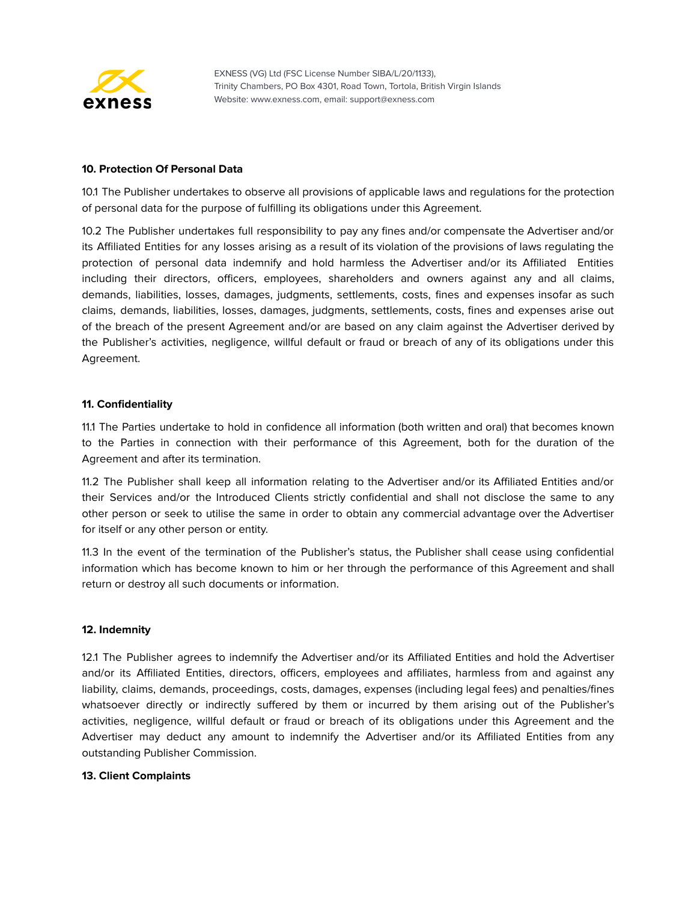

#### **10. Protection Of Personal Data**

10.1 The Publisher undertakes to observe all provisions of applicable laws and regulations for the protection of personal data for the purpose of fulfilling its obligations under this Agreement.

10.2 The Publisher undertakes full responsibility to pay any fines and/or compensate the Advertiser and/or its Affiliated Entities for any losses arising as a result of its violation of the provisions of laws regulating the protection of personal data indemnify and hold harmless the Advertiser and/or its Affiliated Entities including their directors, officers, employees, shareholders and owners against any and all claims, demands, liabilities, losses, damages, judgments, settlements, costs, fines and expenses insofar as such claims, demands, liabilities, losses, damages, judgments, settlements, costs, fines and expenses arise out of the breach of the present Agreement and/or are based on any claim against the Advertiser derived by the Publisher's activities, negligence, willful default or fraud or breach of any of its obligations under this Agreement.

#### **11. Confidentiality**

11.1 The Parties undertake to hold in confidence all information (both written and oral) that becomes known to the Parties in connection with their performance of this Agreement, both for the duration of the Agreement and after its termination.

11.2 The Publisher shall keep all information relating to the Advertiser and/or its Affiliated Entities and/or their Services and/or the Introduced Clients strictly confidential and shall not disclose the same to any other person or seek to utilise the same in order to obtain any commercial advantage over the Advertiser for itself or any other person or entity.

11.3 In the event of the termination of the Publisher's status, the Publisher shall cease using confidential information which has become known to him or her through the performance of this Agreement and shall return or destroy all such documents or information.

#### **12. Indemnity**

12.1 The Publisher agrees to indemnify the Advertiser and/or its Affiliated Entities and hold the Advertiser and/or its Affiliated Entities, directors, officers, employees and affiliates, harmless from and against any liability, claims, demands, proceedings, costs, damages, expenses (including legal fees) and penalties/fines whatsoever directly or indirectly suffered by them or incurred by them arising out of the Publisher's activities, negligence, willful default or fraud or breach of its obligations under this Agreement and the Advertiser may deduct any amount to indemnify the Advertiser and/or its Affiliated Entities from any outstanding Publisher Commission.

#### **13. Client Complaints**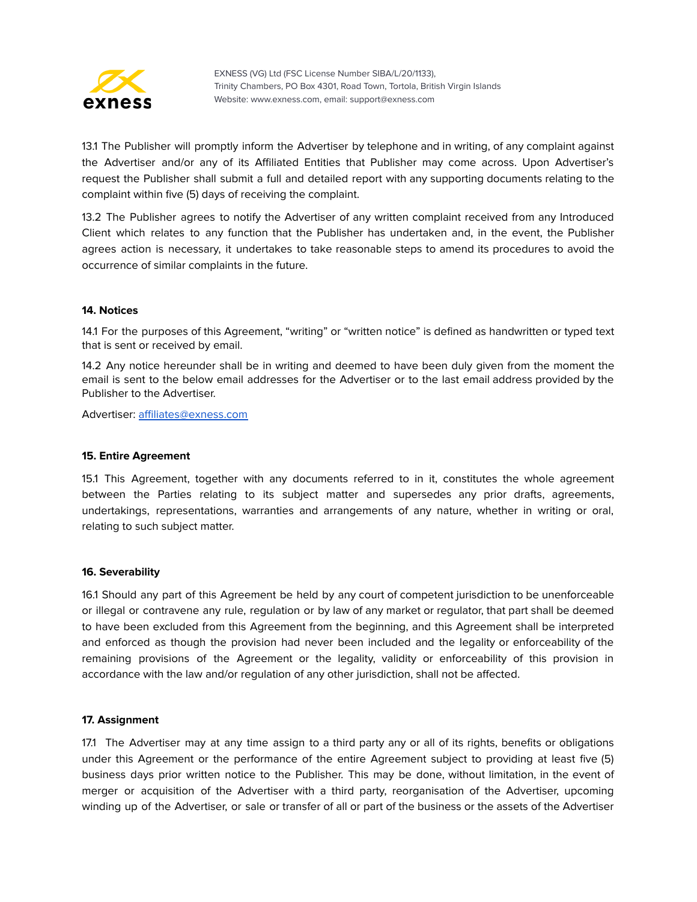

13.1 The Publisher will promptly inform the Advertiser by telephone and in writing, of any complaint against the Advertiser and/or any of its Affiliated Entities that Publisher may come across. Upon Advertiser's request the Publisher shall submit a full and detailed report with any supporting documents relating to the complaint within five (5) days of receiving the complaint.

13.2 The Publisher agrees to notify the Advertiser of any written complaint received from any Introduced Client which relates to any function that the Publisher has undertaken and, in the event, the Publisher agrees action is necessary, it undertakes to take reasonable steps to amend its procedures to avoid the occurrence of similar complaints in the future.

## **14. Notices**

14.1 For the purposes of this Agreement, "writing" or "written notice" is defined as handwritten or typed text that is sent or received by email.

14.2 Any notice hereunder shall be in writing and deemed to have been duly given from the moment the email is sent to the below email addresses for the Advertiser or to the last email address provided by the Publisher to the Advertiser.

Advertiser: [affiliates@exness.com](mailto:affiliates@exness.com)

#### **15. Entire Agreement**

15.1 This Agreement, together with any documents referred to in it, constitutes the whole agreement between the Parties relating to its subject matter and supersedes any prior drafts, agreements, undertakings, representations, warranties and arrangements of any nature, whether in writing or oral, relating to such subject matter.

#### **16. Severability**

16.1 Should any part of this Agreement be held by any court of competent jurisdiction to be unenforceable or illegal or contravene any rule, regulation or by law of any market or regulator, that part shall be deemed to have been excluded from this Agreement from the beginning, and this Agreement shall be interpreted and enforced as though the provision had never been included and the legality or enforceability of the remaining provisions of the Agreement or the legality, validity or enforceability of this provision in accordance with the law and/or regulation of any other jurisdiction, shall not be affected.

#### **17. Assignment**

17.1 The Advertiser may at any time assign to a third party any or all of its rights, benefits or obligations under this Agreement or the performance of the entire Agreement subject to providing at least five (5) business days prior written notice to the Publisher. This may be done, without limitation, in the event of merger or acquisition of the Advertiser with a third party, reorganisation of the Advertiser, upcoming winding up of the Advertiser, or sale or transfer of all or part of the business or the assets of the Advertiser